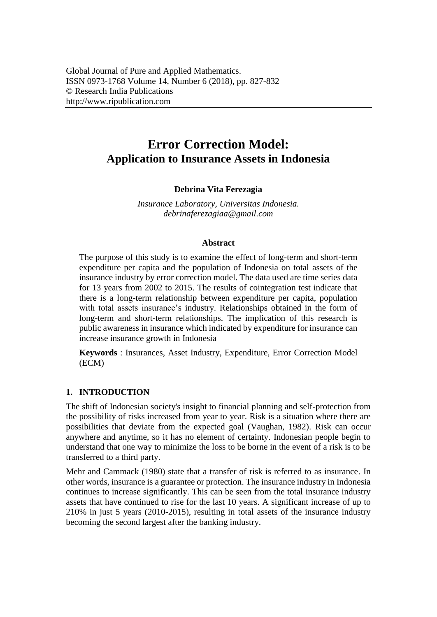# **Error Correction Model: Application to Insurance Assets in Indonesia**

## **Debrina Vita Ferezagia**

*Insurance Laboratory, Universitas Indonesia. [debrinaferezagiaa@gmail.com](mailto:debrinaferezagiaa@gmail.com)*

#### **Abstract**

The purpose of this study is to examine the effect of long-term and short-term expenditure per capita and the population of Indonesia on total assets of the insurance industry by error correction model. The data used are time series data for 13 years from 2002 to 2015. The results of cointegration test indicate that there is a long-term relationship between expenditure per capita, population with total assets insurance's industry. Relationships obtained in the form of long-term and short-term relationships. The implication of this research is public awareness in insurance which indicated by expenditure for insurance can increase insurance growth in Indonesia

**Keywords** : Insurances, Asset Industry, Expenditure, Error Correction Model (ECM)

#### **1. INTRODUCTION**

The shift of Indonesian society's insight to financial planning and self-protection from the possibility of risks increased from year to year. Risk is a situation where there are possibilities that deviate from the expected goal (Vaughan, 1982). Risk can occur anywhere and anytime, so it has no element of certainty. Indonesian people begin to understand that one way to minimize the loss to be borne in the event of a risk is to be transferred to a third party.

Mehr and Cammack (1980) state that a transfer of risk is referred to as insurance. In other words, insurance is a guarantee or protection. The insurance industry in Indonesia continues to increase significantly. This can be seen from the total insurance industry assets that have continued to rise for the last 10 years. A significant increase of up to 210% in just 5 years (2010-2015), resulting in total assets of the insurance industry becoming the second largest after the banking industry.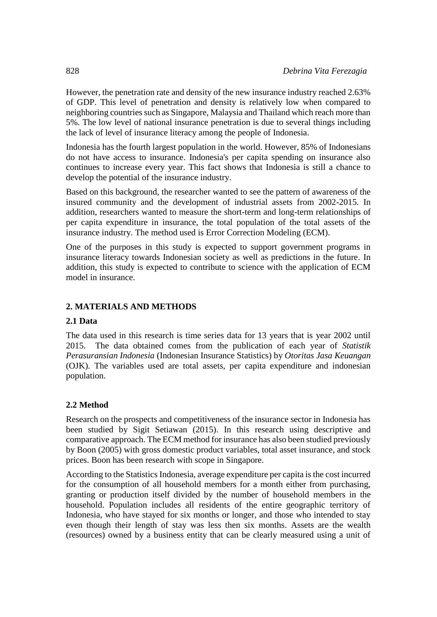However, the penetration rate and density of the new insurance industry reached 2.63% of GDP. This level of penetration and density is relatively low when compared to neighboring countries such as Singapore, Malaysia and Thailand which reach more than 5%. The low level of national insurance penetration is due to several things including the lack of level of insurance literacy among the people of Indonesia.

Indonesia has the fourth largest population in the world. However, 85% of Indonesians do not have access to insurance. Indonesia's per capita spending on insurance also continues to increase every year. This fact shows that Indonesia is still a chance to develop the potential of the insurance industry.

Based on this background, the researcher wanted to see the pattern of awareness of the insured community and the development of industrial assets from 2002-2015. In addition, researchers wanted to measure the short-term and long-term relationships of per capita expenditure in insurance, the total population of the total assets of the insurance industry. The method used is Error Correction Modeling (ECM).

One of the purposes in this study is expected to support government programs in insurance literacy towards Indonesian society as well as predictions in the future. In addition, this study is expected to contribute to science with the application of ECM model in insurance.

# **2. MATERIALS AND METHODS**

# **2.1 Data**

The data used in this research is time series data for 13 years that is year 2002 until 2015. The data obtained comes from the publication of each year of *Statistik Perasuransian Indonesia* (Indonesian Insurance Statistics) by *Otoritas Jasa Keuangan* (OJK). The variables used are total assets, per capita expenditure and indonesian population.

# **2.2 Method**

Research on the prospects and competitiveness of the insurance sector in Indonesia has been studied by Sigit Setiawan (2015). In this research using descriptive and comparative approach. The ECM method for insurance has also been studied previously by Boon (2005) with gross domestic product variables, total asset insurance, and stock prices. Boon has been research with scope in Singapore.

According to the Statistics Indonesia, average expenditure per capita is the cost incurred for the consumption of all household members for a month either from purchasing, granting or production itself divided by the number of household members in the household. Population includes all residents of the entire geographic territory of Indonesia, who have stayed for six months or longer, and those who intended to stay even though their length of stay was less then six months. Assets are the wealth (resources) owned by a business entity that can be clearly measured using a unit of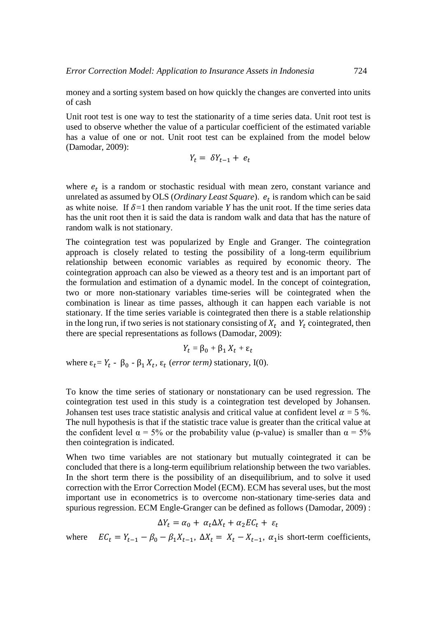money and a sorting system based on how quickly the changes are converted into units of cash

Unit root test is one way to test the stationarity of a time series data. Unit root test is used to observe whether the value of a particular coefficient of the estimated variable has a value of one or not. Unit root test can be explained from the model below (Damodar, 2009):

$$
Y_t = \delta Y_{t-1} + e_t
$$

where  $e_t$  is a random or stochastic residual with mean zero, constant variance and unrelated as assumed by OLS (*Ordinary Least Square*). is random which can be said as white noise. If  $\delta = 1$  then random variable *Y* has the unit root. If the time series data has the unit root then it is said the data is random walk and data that has the nature of random walk is not stationary.

The cointegration test was popularized by Engle and Granger. The cointegration approach is closely related to testing the possibility of a long-term equilibrium relationship between economic variables as required by economic theory. The cointegration approach can also be viewed as a theory test and is an important part of the formulation and estimation of a dynamic model. In the concept of cointegration, two or more non-stationary variables time-series will be cointegrated when the combination is linear as time passes, although it can happen each variable is not stationary. If the time series variable is cointegrated then there is a stable relationship in the long run, if two series is not stationary consisting of  $X_t$  and  $Y_t$  cointegrated, then there are special representations as follows (Damodar, 2009):

$$
Y_t = \beta_0 + \beta_1 X_t + \varepsilon_t
$$

where  $\varepsilon_t = Y_t - \beta_0 - \beta_1 X_t$ ,  $\varepsilon_t$  (*error term*) stationary, I(0).

To know the time series of stationary or nonstationary can be used regression. The cointegration test used in this study is a cointegration test developed by Johansen. Johansen test uses trace statistic analysis and critical value at confident level  $\alpha = 5$ %. The null hypothesis is that if the statistic trace value is greater than the critical value at the confident level  $\alpha = 5\%$  or the probability value (p-value) is smaller than  $\alpha = 5\%$ then cointegration is indicated.

When two time variables are not stationary but mutually cointegrated it can be concluded that there is a long-term equilibrium relationship between the two variables. In the short term there is the possibility of an disequilibrium, and to solve it used correction with the Error Correction Model (ECM). ECM has several uses, but the most important use in econometrics is to overcome non-stationary time-series data and spurious regression. ECM Engle-Granger can be defined as follows (Damodar, 2009) :

$$
\Delta Y_t = \alpha_0 + \alpha_t \Delta X_t + \alpha_2 E C_t + \varepsilon_t
$$

where  $EC_t = Y_{t-1} - \beta_0 - \beta_1 X_{t-1}$ ,  $\Delta X_t = X_t - X_{t-1}$ ,  $\alpha_1$  is short-term coefficients,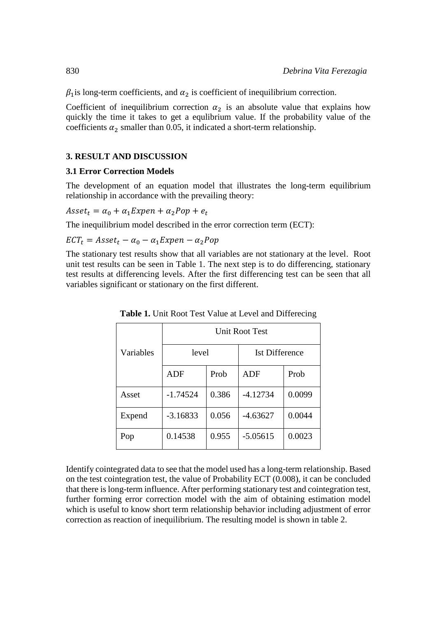$\beta_1$  is long-term coefficients, and  $\alpha_2$  is coefficient of inequilibrium correction.

Coefficient of inequilibrium correction  $\alpha_2$  is an absolute value that explains how quickly the time it takes to get a equlibrium value. If the probability value of the coefficients  $\alpha_2$  smaller than 0.05, it indicated a short-term relationship.

#### **3. RESULT AND DISCUSSION**

#### **3.1 Error Correction Models**

The development of an equation model that illustrates the long-term equilibrium relationship in accordance with the prevailing theory:

 $\textit{Asset}_t = \alpha_0 + \alpha_1 \textit{Expen} + \alpha_2 \textit{Pop} + e_t$ 

The inequilibrium model described in the error correction term (ECT):

 $\textit{ECT}_t = \textit{Asset}_t - \alpha_0 - \alpha_1 \textit{Expen} - \alpha_2 \textit{Pop}$ 

The stationary test results show that all variables are not stationary at the level. Root unit test results can be seen in Table 1. The next step is to do differencing, stationary test results at differencing levels. After the first differencing test can be seen that all variables significant or stationary on the first different.

|           | <b>Unit Root Test</b> |       |                       |        |  |
|-----------|-----------------------|-------|-----------------------|--------|--|
| Variables | level                 |       | <b>Ist Difference</b> |        |  |
|           | ADF                   | Prob  | ADF                   | Prob   |  |
| Asset     | $-1.74524$            | 0.386 | $-4.12734$            | 0.0099 |  |
| Expend    | $-3.16833$            | 0.056 | $-4.63627$            | 0.0044 |  |
| Pop       | 0.14538               | 0.955 | $-5.05615$            | 0.0023 |  |

**Table 1.** Unit Root Test Value at Level and Differecing

Identify cointegrated data to see that the model used has a long-term relationship. Based on the test cointegration test, the value of Probability ECT (0.008), it can be concluded that there is long-term influence. After performing stationary test and cointegration test, further forming error correction model with the aim of obtaining estimation model which is useful to know short term relationship behavior including adjustment of error correction as reaction of inequilibrium. The resulting model is shown in table 2.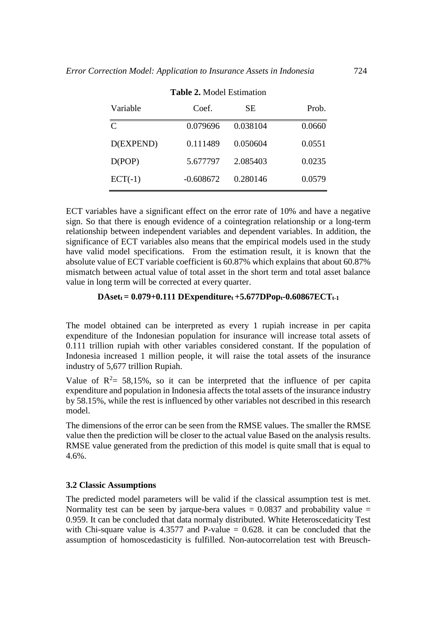| Variable      | Coef.       | SЕ       | Prob.  |
|---------------|-------------|----------|--------|
| $\mathcal{C}$ | 0.079696    | 0.038104 | 0.0660 |
| D(EXPEND)     | 0.111489    | 0.050604 | 0.0551 |
| D(POP)        | 5.677797    | 2.085403 | 0.0235 |
| $ECT(-1)$     | $-0.608672$ | 0.280146 | 0.0579 |

#### **Table 2.** Model Estimation

ECT variables have a significant effect on the error rate of 10% and have a negative sign. So that there is enough evidence of a cointegration relationship or a long-term relationship between independent variables and dependent variables. In addition, the significance of ECT variables also means that the empirical models used in the study have valid model specifications. From the estimation result, it is known that the absolute value of ECT variable coefficient is 60.87% which explains that about 60.87% mismatch between actual value of total asset in the short term and total asset balance value in long term will be corrected at every quarter.

#### $DAset_t = 0.079 + 0.111$   $DExpenditure_t + 5.677DPop_t - 0.60867ECT_{t-1}$

The model obtained can be interpreted as every 1 rupiah increase in per capita expenditure of the Indonesian population for insurance will increase total assets of 0.111 trillion rupiah with other variables considered constant. If the population of Indonesia increased 1 million people, it will raise the total assets of the insurance industry of 5,677 trillion Rupiah.

Value of  $R^2 = 58,15\%$ , so it can be interpreted that the influence of per capita expenditure and population in Indonesia affects the total assets of the insurance industry by 58.15%, while the rest is influenced by other variables not described in this research model.

The dimensions of the error can be seen from the RMSE values. The smaller the RMSE value then the prediction will be closer to the actual value Based on the analysis results. RMSE value generated from the prediction of this model is quite small that is equal to 4.6%.

#### **3.2 Classic Assumptions**

The predicted model parameters will be valid if the classical assumption test is met. Normality test can be seen by jarque-bera values  $= 0.0837$  and probability value  $=$ 0.959. It can be concluded that data normaly distributed. White Heteroscedaticity Test with Chi-square value is 4.3577 and P-value  $= 0.628$ . it can be concluded that the assumption of homoscedasticity is fulfilled. Non-autocorrelation test with Breusch